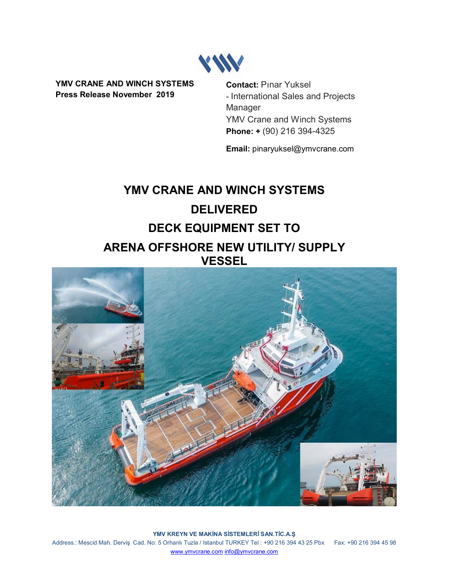

**YMV CRANE AND WINCH SYSTEMS Press Release November 2019**

**Contact:** Pınar Yuksel - International Sales and Projects Manager YMV Crane and Winch Systems **Phone: +** (90) 216 394-4325

**Email:** pinaryuksel@ymvcrane.com

# **YMV CRANE AND WINCH SYSTEMS DELIVERED DECK EQUIPMENT SET TO ARENA OFFSHORE NEW UTILITY/ SUPPLY VESSEL**



**YMV KREYN VE MAKİNA SİSTEMLERİ SAN.TİC.A.Ş** Address.: Mescid Mah. Derviş Cad. No: 5 Orhanlı Tuzla / Istanbul TURKEY Tel : +90 216 394 43 25 Pbx Fax: +90 216 394 45 98 [www.ymvcrane.com](http://www.ymvcrane.com/) [info@ymvcrane.com](mailto:info@ymvcrane.com)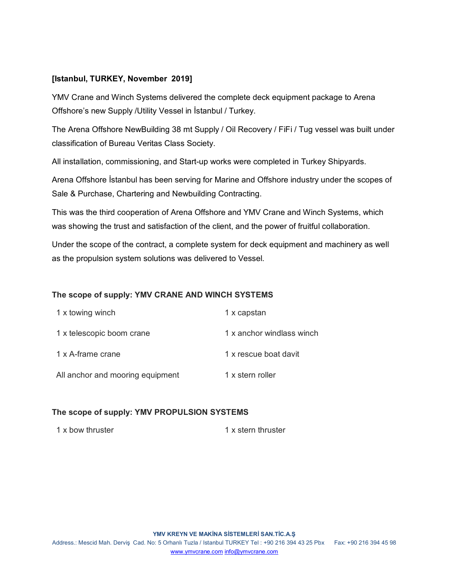## **[Istanbul, TURKEY, November 2019]**

YMV Crane and Winch Systems delivered the complete deck equipment package to Arena Offshore's new Supply /Utility Vessel in İstanbul / Turkey.

The Arena Offshore NewBuilding 38 mt Supply / Oil Recovery / FiFi / Tug vessel was built under classification of Bureau Veritas Class Society.

All installation, commissioning, and Start-up works were completed in Turkey Shipyards.

Arena Offshore İstanbul has been serving for Marine and Offshore industry under the scopes of Sale & Purchase, Chartering and Newbuilding Contracting.

This was the third cooperation of Arena Offshore and YMV Crane and Winch Systems, which was showing the trust and satisfaction of the client, and the power of fruitful collaboration.

Under the scope of the contract, a complete system for deck equipment and machinery as well as the propulsion system solutions was delivered to Vessel.

## **The scope of supply: YMV CRANE AND WINCH SYSTEMS**

| 1 x towing winch                 | 1 x capstan               |
|----------------------------------|---------------------------|
| 1 x telescopic boom crane        | 1 x anchor windlass winch |
| 1 x A-frame crane                | 1 x rescue boat davit     |
| All anchor and mooring equipment | 1 x stern roller          |

### **The scope of supply: YMV PROPULSION SYSTEMS**

1 x bow thruster 1 x stern thruster